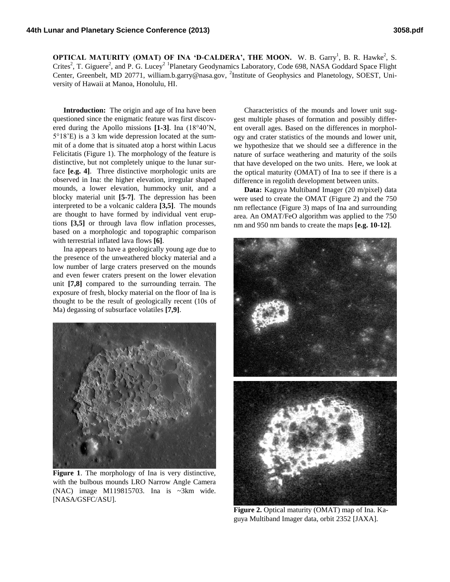**OPTICAL MATURITY (OMAT) OF INA 'D-CALDERA', THE MOON.** W. B. Garry<sup>1</sup>, B. R. Hawke<sup>2</sup>, S. Crites<sup>2</sup>, T. Giguere<sup>2</sup>, and P. G. Lucey<sup>2</sup> <sup>1</sup>Planetary Geodynamics Laboratory, Code 698, NASA Goddard Space Flight Center, Greenbelt, MD 20771, william.b.garry@nasa.gov, <sup>2</sup>Institute of Geophysics and Planetology, SOEST, University of Hawaii at Manoa, Honolulu, HI.

**Introduction:** The origin and age of Ina have been questioned since the enigmatic feature was first discovered during the Apollo missions **[1-3]**. Ina (18°40'N, 5°18'E) is a 3 km wide depression located at the summit of a dome that is situated atop a horst within Lacus Felicitatis (Figure 1). The morphology of the feature is distinctive, but not completely unique to the lunar surface **[e.g. 4]**. Three distinctive morphologic units are observed in Ina: the higher elevation, irregular shaped mounds, a lower elevation, hummocky unit, and a blocky material unit **[5-7]**. The depression has been interpreted to be a volcanic caldera **[3,5]**. The mounds are thought to have formed by individual vent eruptions **[3,5]** or through lava flow inflation processes, based on a morphologic and topographic comparison with terrestrial inflated lava flows **[6]**.

Ina appears to have a geologically young age due to the presence of the unweathered blocky material and a low number of large craters preserved on the mounds and even fewer craters present on the lower elevation unit **[7,8]** compared to the surrounding terrain. The exposure of fresh, blocky material on the floor of Ina is thought to be the result of geologically recent (10s of Ma) degassing of subsurface volatiles **[7,9]**.



Figure 1. The morphology of Ina is very distinctive, with the bulbous mounds LRO Narrow Angle Camera (NAC) image M119815703. Ina is ~3km wide. [NASA/GSFC/ASU].

Characteristics of the mounds and lower unit suggest multiple phases of formation and possibly different overall ages. Based on the differences in morphology and crater statistics of the mounds and lower unit, we hypothesize that we should see a difference in the nature of surface weathering and maturity of the soils that have developed on the two units. Here, we look at the optical maturity (OMAT) of Ina to see if there is a difference in regolith development between units.

**Data:** Kaguya Multiband Imager (20 m/pixel) data were used to create the OMAT (Figure 2) and the 750 nm reflectance (Figure 3) maps of Ina and surrounding area. An OMAT/FeO algorithm was applied to the 750 nm and 950 nm bands to create the maps **[e.g. 10-12]**.



**Figure 2.** Optical maturity (OMAT) map of Ina. Kaguya Multiband Imager data, orbit 2352 [JAXA].